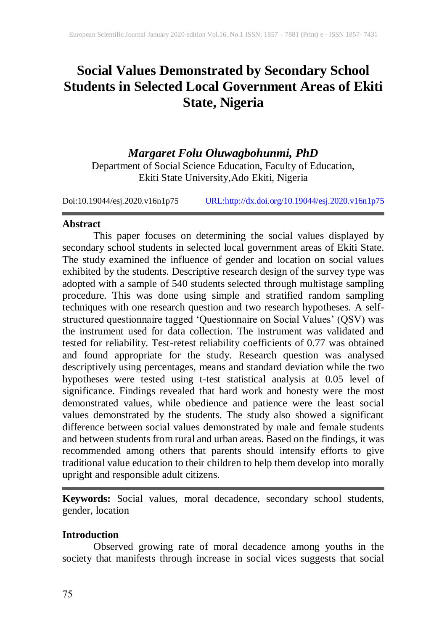# **Social Values Demonstrated by Secondary School Students in Selected Local Government Areas of Ekiti State, Nigeria**

# *Margaret Folu Oluwagbohunmi, PhD*

Department of Social Science Education, Faculty of Education, Ekiti State University,Ado Ekiti, Nigeria

Doi:10.19044/esj.2020.v16n1p75 [URL:http://dx.doi.org/10.19044/esj.2020.v16n1p75](http://dx.doi.org/10.19044/esj.2020.v16n1p75)

### **Abstract**

This paper focuses on determining the social values displayed by secondary school students in selected local government areas of Ekiti State. The study examined the influence of gender and location on social values exhibited by the students. Descriptive research design of the survey type was adopted with a sample of 540 students selected through multistage sampling procedure. This was done using simple and stratified random sampling techniques with one research question and two research hypotheses. A selfstructured questionnaire tagged 'Questionnaire on Social Values' (QSV) was the instrument used for data collection. The instrument was validated and tested for reliability. Test-retest reliability coefficients of 0.77 was obtained and found appropriate for the study. Research question was analysed descriptively using percentages, means and standard deviation while the two hypotheses were tested using t-test statistical analysis at 0.05 level of significance. Findings revealed that hard work and honesty were the most demonstrated values, while obedience and patience were the least social values demonstrated by the students. The study also showed a significant difference between social values demonstrated by male and female students and between students from rural and urban areas. Based on the findings, it was recommended among others that parents should intensify efforts to give traditional value education to their children to help them develop into morally upright and responsible adult citizens.

**Keywords:** Social values, moral decadence, secondary school students, gender, location

# **Introduction**

Observed growing rate of moral decadence among youths in the society that manifests through increase in social vices suggests that social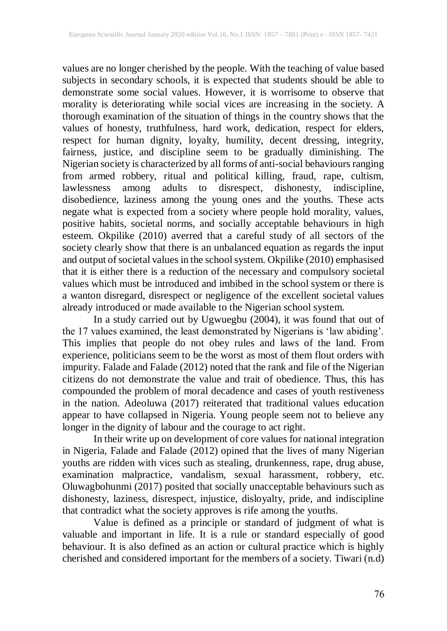values are no longer cherished by the people. With the teaching of value based subjects in secondary schools, it is expected that students should be able to demonstrate some social values. However, it is worrisome to observe that morality is deteriorating while social vices are increasing in the society. A thorough examination of the situation of things in the country shows that the values of honesty, truthfulness, hard work, dedication, respect for elders, respect for human dignity, loyalty, humility, decent dressing, integrity, fairness, justice, and discipline seem to be gradually diminishing. The Nigerian society is characterized by all forms of anti-social behavioursranging from armed robbery, ritual and political killing, fraud, rape, cultism, lawlessness among adults to disrespect, dishonesty, indiscipline, disobedience, laziness among the young ones and the youths. These acts negate what is expected from a society where people hold morality, values, positive habits, societal norms, and socially acceptable behaviours in high esteem. Okpilike (2010) averred that a careful study of all sectors of the society clearly show that there is an unbalanced equation as regards the input and output of societal values in the school system. Okpilike (2010) emphasised that it is either there is a reduction of the necessary and compulsory societal values which must be introduced and imbibed in the school system or there is a wanton disregard, disrespect or negligence of the excellent societal values already introduced or made available to the Nigerian school system.

In a study carried out by Ugwuegbu (2004), it was found that out of the 17 values examined, the least demonstrated by Nigerians is 'law abiding'. This implies that people do not obey rules and laws of the land. From experience, politicians seem to be the worst as most of them flout orders with impurity. Falade and Falade (2012) noted that the rank and file of the Nigerian citizens do not demonstrate the value and trait of obedience. Thus, this has compounded the problem of moral decadence and cases of youth restiveness in the nation. Adeoluwa (2017) reiterated that traditional values education appear to have collapsed in Nigeria. Young people seem not to believe any longer in the dignity of labour and the courage to act right.

In their write up on development of core values for national integration in Nigeria, Falade and Falade (2012) opined that the lives of many Nigerian youths are ridden with vices such as stealing, drunkenness, rape, drug abuse, examination malpractice, vandalism, sexual harassment, robbery, etc. Oluwagbohunmi (2017) posited that socially unacceptable behaviours such as dishonesty, laziness, disrespect, injustice, disloyalty, pride, and indiscipline that contradict what the society approves is rife among the youths.

Value is defined as a principle or standard of judgment of what is valuable and important in life. It is a rule or standard especially of good behaviour. It is also defined as an action or cultural practice which is highly cherished and considered important for the members of a society. Tiwari (n.d)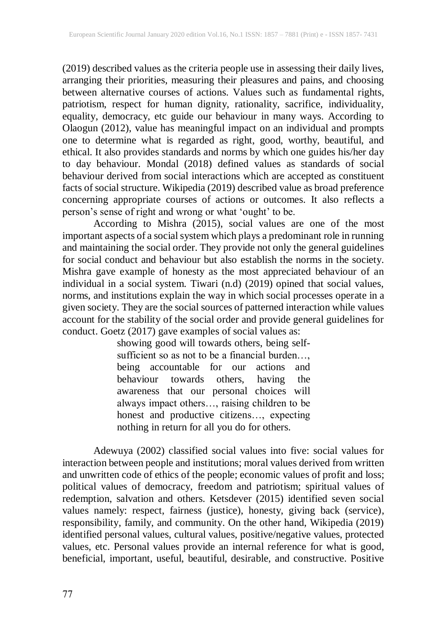(2019) described values as the criteria people use in assessing their daily lives, arranging their priorities, measuring their pleasures and pains, and choosing between alternative courses of actions. Values such as fundamental rights, patriotism, respect for human dignity, rationality, sacrifice, individuality, equality, democracy, etc guide our behaviour in many ways. According to Olaogun (2012), value has meaningful impact on an individual and prompts one to determine what is regarded as right, good, worthy, beautiful, and ethical. It also provides standards and norms by which one guides his/her day to day behaviour. Mondal (2018) defined values as standards of social behaviour derived from social interactions which are accepted as constituent facts of social structure. Wikipedia (2019) described value as broad preference concerning appropriate courses of actions or outcomes. It also reflects a person's sense of right and wrong or what 'ought' to be.

According to Mishra (2015), social values are one of the most important aspects of a social system which plays a predominant role in running and maintaining the social order. They provide not only the general guidelines for social conduct and behaviour but also establish the norms in the society. Mishra gave example of honesty as the most appreciated behaviour of an individual in a social system. Tiwari (n.d) (2019) opined that social values, norms, and institutions explain the way in which social processes operate in a given society. They are the social sources of patterned interaction while values account for the stability of the social order and provide general guidelines for conduct. Goetz (2017) gave examples of social values as:

showing good will towards others, being selfsufficient so as not to be a financial burden…, being accountable for our actions and behaviour towards others, having the awareness that our personal choices will always impact others…, raising children to be honest and productive citizens…, expecting nothing in return for all you do for others.

Adewuya (2002) classified social values into five: social values for interaction between people and institutions; moral values derived from written and unwritten code of ethics of the people; economic values of profit and loss; political values of democracy, freedom and patriotism; spiritual values of redemption, salvation and others. Ketsdever (2015) identified seven social values namely: respect, fairness (justice), honesty, giving back (service), responsibility, family, and community. On the other hand, Wikipedia (2019) identified personal values, cultural values, positive/negative values, protected values, etc. Personal values provide an internal reference for what is good, beneficial, important, useful, beautiful, desirable, and constructive. Positive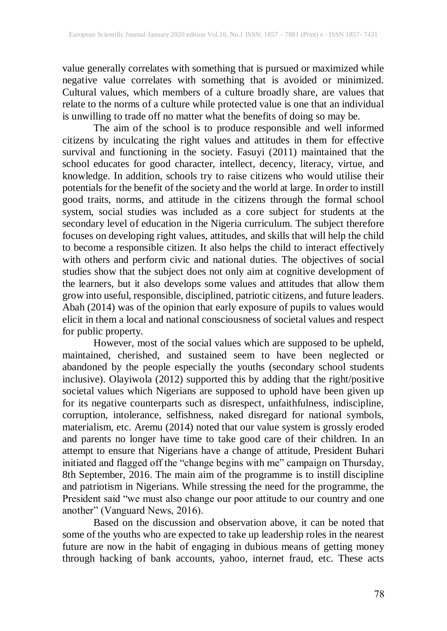value generally correlates with something that is pursued or maximized while negative value correlates with something that is avoided or minimized. Cultural values, which members of a culture broadly share, are values that relate to the norms of a culture while protected value is one that an individual is unwilling to trade off no matter what the benefits of doing so may be.

The aim of the school is to produce responsible and well informed citizens by inculcating the right values and attitudes in them for effective survival and functioning in the society. Fasuyi (2011) maintained that the school educates for good character, intellect, decency, literacy, virtue, and knowledge. In addition, schools try to raise citizens who would utilise their potentials for the benefit of the society and the world at large. In order to instill good traits, norms, and attitude in the citizens through the formal school system, social studies was included as a core subject for students at the secondary level of education in the Nigeria curriculum. The subject therefore focuses on developing right values, attitudes, and skills that will help the child to become a responsible citizen. It also helps the child to interact effectively with others and perform civic and national duties. The objectives of social studies show that the subject does not only aim at cognitive development of the learners, but it also develops some values and attitudes that allow them grow into useful, responsible, disciplined, patriotic citizens, and future leaders. Abah (2014) was of the opinion that early exposure of pupils to values would elicit in them a local and national consciousness of societal values and respect for public property.

However, most of the social values which are supposed to be upheld, maintained, cherished, and sustained seem to have been neglected or abandoned by the people especially the youths (secondary school students inclusive). Olayiwola (2012) supported this by adding that the right/positive societal values which Nigerians are supposed to uphold have been given up for its negative counterparts such as disrespect, unfaithfulness, indiscipline, corruption, intolerance, selfishness, naked disregard for national symbols, materialism, etc. Aremu (2014) noted that our value system is grossly eroded and parents no longer have time to take good care of their children. In an attempt to ensure that Nigerians have a change of attitude, President Buhari initiated and flagged off the "change begins with me" campaign on Thursday, 8th September, 2016. The main aim of the programme is to instill discipline and patriotism in Nigerians. While stressing the need for the programme, the President said "we must also change our poor attitude to our country and one another" (Vanguard News, 2016).

Based on the discussion and observation above, it can be noted that some of the youths who are expected to take up leadership roles in the nearest future are now in the habit of engaging in dubious means of getting money through hacking of bank accounts, yahoo, internet fraud, etc. These acts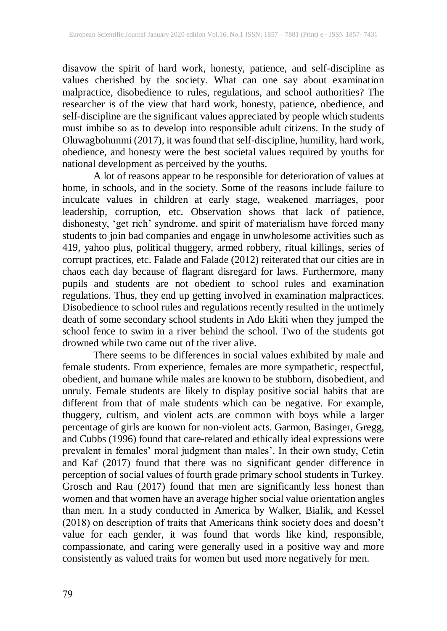disavow the spirit of hard work, honesty, patience, and self-discipline as values cherished by the society. What can one say about examination malpractice, disobedience to rules, regulations, and school authorities? The researcher is of the view that hard work, honesty, patience, obedience, and self-discipline are the significant values appreciated by people which students must imbibe so as to develop into responsible adult citizens. In the study of Oluwagbohunmi (2017), it was found that self-discipline, humility, hard work, obedience, and honesty were the best societal values required by youths for national development as perceived by the youths.

A lot of reasons appear to be responsible for deterioration of values at home, in schools, and in the society. Some of the reasons include failure to inculcate values in children at early stage, weakened marriages, poor leadership, corruption, etc. Observation shows that lack of patience, dishonesty, 'get rich' syndrome, and spirit of materialism have forced many students to join bad companies and engage in unwholesome activities such as 419, yahoo plus, political thuggery, armed robbery, ritual killings, series of corrupt practices, etc. Falade and Falade (2012) reiterated that our cities are in chaos each day because of flagrant disregard for laws. Furthermore, many pupils and students are not obedient to school rules and examination regulations. Thus, they end up getting involved in examination malpractices. Disobedience to school rules and regulations recently resulted in the untimely death of some secondary school students in Ado Ekiti when they jumped the school fence to swim in a river behind the school. Two of the students got drowned while two came out of the river alive.

There seems to be differences in social values exhibited by male and female students. From experience, females are more sympathetic, respectful, obedient, and humane while males are known to be stubborn, disobedient, and unruly. Female students are likely to display positive social habits that are different from that of male students which can be negative. For example, thuggery, cultism, and violent acts are common with boys while a larger percentage of girls are known for non-violent acts. Garmon, Basinger, Gregg, and Cubbs (1996) found that care-related and ethically ideal expressions were prevalent in females' moral judgment than males'. In their own study, Cetin and Kaf (2017) found that there was no significant gender difference in perception of social values of fourth grade primary school students in Turkey. Grosch and Rau (2017) found that men are significantly less honest than women and that women have an average higher social value orientation angles than men. In a study conducted in America by Walker, Bialik, and Kessel (2018) on description of traits that Americans think society does and doesn't value for each gender, it was found that words like kind, responsible, compassionate, and caring were generally used in a positive way and more consistently as valued traits for women but used more negatively for men.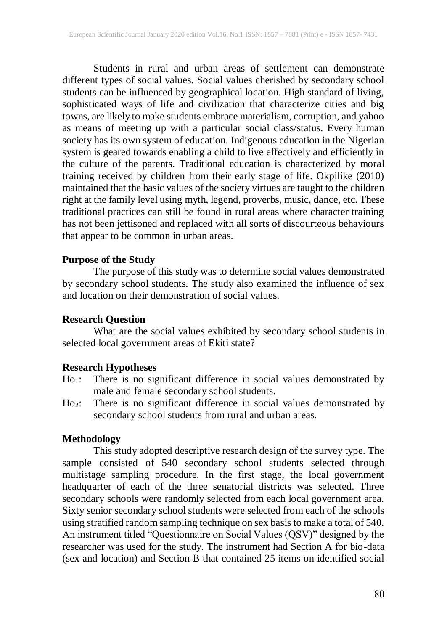Students in rural and urban areas of settlement can demonstrate different types of social values. Social values cherished by secondary school students can be influenced by geographical location. High standard of living, sophisticated ways of life and civilization that characterize cities and big towns, are likely to make students embrace materialism, corruption, and yahoo as means of meeting up with a particular social class/status. Every human society has its own system of education. Indigenous education in the Nigerian system is geared towards enabling a child to live effectively and efficiently in the culture of the parents. Traditional education is characterized by moral training received by children from their early stage of life. Okpilike (2010) maintained that the basic values of the society virtues are taught to the children right at the family level using myth, legend, proverbs, music, dance, etc. These traditional practices can still be found in rural areas where character training has not been jettisoned and replaced with all sorts of discourteous behaviours that appear to be common in urban areas.

### **Purpose of the Study**

The purpose of this study was to determine social values demonstrated by secondary school students. The study also examined the influence of sex and location on their demonstration of social values.

# **Research Question**

What are the social values exhibited by secondary school students in selected local government areas of Ekiti state?

#### **Research Hypotheses**

- Ho1: There is no significant difference in social values demonstrated by male and female secondary school students.
- Ho2: There is no significant difference in social values demonstrated by secondary school students from rural and urban areas.

# **Methodology**

This study adopted descriptive research design of the survey type. The sample consisted of 540 secondary school students selected through multistage sampling procedure. In the first stage, the local government headquarter of each of the three senatorial districts was selected. Three secondary schools were randomly selected from each local government area. Sixty senior secondary school students were selected from each of the schools using stratified random sampling technique on sex basisto make a total of 540. An instrument titled "Questionnaire on Social Values (QSV)" designed by the researcher was used for the study. The instrument had Section A for bio-data (sex and location) and Section B that contained 25 items on identified social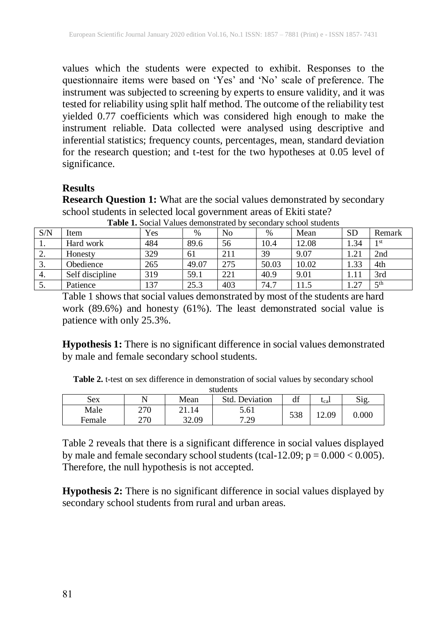values which the students were expected to exhibit. Responses to the questionnaire items were based on 'Yes' and 'No' scale of preference. The instrument was subjected to screening by experts to ensure validity, and it was tested for reliability using split half method. The outcome of the reliability test yielded 0.77 coefficients which was considered high enough to make the instrument reliable. Data collected were analysed using descriptive and inferential statistics; frequency counts, percentages, mean, standard deviation for the research question; and t-test for the two hypotheses at 0.05 level of significance.

### **Results**

**Research Question 1:** What are the social values demonstrated by secondary school students in selected local government areas of Ekiti state?

| S/N       | Item            | Yes | $\%$  | No  | $\%$  | Mean  | <b>SD</b> | Remark          |
|-----------|-----------------|-----|-------|-----|-------|-------|-----------|-----------------|
| 1.        | Hard work       | 484 | 89.6  | 56  | 10.4  | 12.08 | 1.34      | 1 <sub>st</sub> |
| <u>L.</u> | Honesty         | 329 | 61    | 211 | 39    | 9.07  | 1.21      | 2nd             |
| J.        | Obedience       | 265 | 49.07 | 275 | 50.03 | 10.02 | .33       | 4th             |
| 4.        | Self discipline | 319 | 59.1  | 221 | 40.9  | 9.01  |           | 3rd             |
| J.        | Patience        | 137 | 25.3  | 403 | 74.7  |       | $\gamma$  | $th$            |

**Table 1.** Social Values demonstrated by secondary school students

Table 1 shows that social values demonstrated by most of the students are hard work (89.6%) and honesty (61%). The least demonstrated social value is patience with only 25.3%.

**Hypothesis 1:** There is no significant difference in social values demonstrated by male and female secondary school students.

**Table 2.** t-test on sex difference in demonstration of social values by secondary school students

| students |      |       |                       |     |          |       |  |  |
|----------|------|-------|-----------------------|-----|----------|-------|--|--|
| Sex      | Mean |       | <b>Std.</b> Deviation | df  | $t_{ca}$ | Sig   |  |  |
| Male     | 270  |       | 5.61                  | 538 | 12.09    | 0.000 |  |  |
| Female   | 270  | 32.09 | 7.29<br>رے            |     |          |       |  |  |

Table 2 reveals that there is a significant difference in social values displayed by male and female secondary school students (tcal-12.09;  $p = 0.000 < 0.005$ ). Therefore, the null hypothesis is not accepted.

**Hypothesis 2:** There is no significant difference in social values displayed by secondary school students from rural and urban areas.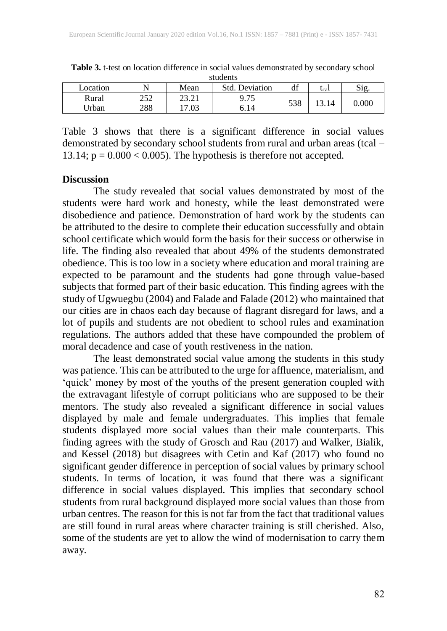| ---------- |            |             |                   |     |          |                 |  |  |
|------------|------------|-------------|-------------------|-----|----------|-----------------|--|--|
| Location   |            | Mean        | Std.<br>Deviation | df  | $t_{ca}$ | Si <sub>2</sub> |  |  |
| Rural      | つうつ<br>252 | າາ າ<br>2.1 | ∩ 75<br>7. I J    | 538 |          | $0.000\,$       |  |  |
| Jrban      | 288        | 17.03       | 6.14              |     |          |                 |  |  |

**Table 3.** t-test on location difference in social values demonstrated by secondary school students

Table 3 shows that there is a significant difference in social values demonstrated by secondary school students from rural and urban areas (tcal – 13.14;  $p = 0.000 < 0.005$ ). The hypothesis is therefore not accepted.

#### **Discussion**

The study revealed that social values demonstrated by most of the students were hard work and honesty, while the least demonstrated were disobedience and patience. Demonstration of hard work by the students can be attributed to the desire to complete their education successfully and obtain school certificate which would form the basis for their success or otherwise in life. The finding also revealed that about 49% of the students demonstrated obedience. This is too low in a society where education and moral training are expected to be paramount and the students had gone through value-based subjects that formed part of their basic education. This finding agrees with the study of Ugwuegbu (2004) and Falade and Falade (2012) who maintained that our cities are in chaos each day because of flagrant disregard for laws, and a lot of pupils and students are not obedient to school rules and examination regulations. The authors added that these have compounded the problem of moral decadence and case of youth restiveness in the nation.

The least demonstrated social value among the students in this study was patience. This can be attributed to the urge for affluence, materialism, and 'quick' money by most of the youths of the present generation coupled with the extravagant lifestyle of corrupt politicians who are supposed to be their mentors. The study also revealed a significant difference in social values displayed by male and female undergraduates. This implies that female students displayed more social values than their male counterparts. This finding agrees with the study of Grosch and Rau (2017) and Walker, Bialik, and Kessel (2018) but disagrees with Cetin and Kaf (2017) who found no significant gender difference in perception of social values by primary school students. In terms of location, it was found that there was a significant difference in social values displayed. This implies that secondary school students from rural background displayed more social values than those from urban centres. The reason for this is not far from the fact that traditional values are still found in rural areas where character training is still cherished. Also, some of the students are yet to allow the wind of modernisation to carry them away.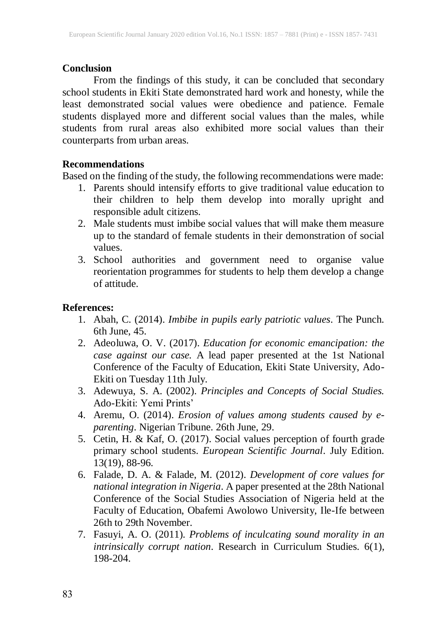#### **Conclusion**

From the findings of this study, it can be concluded that secondary school students in Ekiti State demonstrated hard work and honesty, while the least demonstrated social values were obedience and patience. Female students displayed more and different social values than the males, while students from rural areas also exhibited more social values than their counterparts from urban areas.

# **Recommendations**

Based on the finding of the study, the following recommendations were made:

- 1. Parents should intensify efforts to give traditional value education to their children to help them develop into morally upright and responsible adult citizens.
- 2. Male students must imbibe social values that will make them measure up to the standard of female students in their demonstration of social values.
- 3. School authorities and government need to organise value reorientation programmes for students to help them develop a change of attitude.

# **References:**

- 1. Abah, C. (2014). *Imbibe in pupils early patriotic values*. The Punch. 6th June, 45.
- 2. Adeoluwa, O. V. (2017). *Education for economic emancipation: the case against our case.* A lead paper presented at the 1st National Conference of the Faculty of Education, Ekiti State University, Ado-Ekiti on Tuesday 11th July.
- 3. Adewuya, S. A. (2002). *Principles and Concepts of Social Studies.* Ado-Ekiti: Yemi Prints'
- 4. Aremu, O. (2014). *Erosion of values among students caused by eparenting*. Nigerian Tribune. 26th June, 29.
- 5. Cetin, H. & Kaf, O. (2017). Social values perception of fourth grade primary school students. *European Scientific Journal*. July Edition.  $13(19)$ , 88-96.
- 6. Falade, D. A. & Falade, M. (2012). *Development of core values for national integration in Nigeria*. A paper presented at the 28th National Conference of the Social Studies Association of Nigeria held at the Faculty of Education, Obafemi Awolowo University, Ile-Ife between 26th to 29th November.
- 7. Fasuyi, A. O. (2011). *Problems of inculcating sound morality in an intrinsically corrupt nation*. Research in Curriculum Studies. 6(1), 198-204.